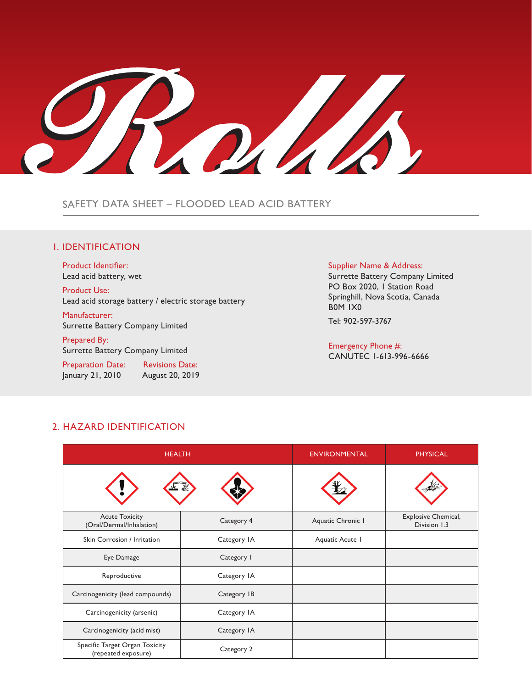TOTALA

SAFETY DATA SHEET – FLOODED LEAD ACID BATTERY

## 1. IDENTIFICATION

Product Identifier: Lead acid battery, wet

Product Use: Lead acid storage battery / electric storage battery

Manufacturer: Surrette Battery Company Limited

Prepared By: Surrette Battery Company Limited

Preparation Date: Revisions Date: January 21, 2010 August 20, 2019

### Supplier Name & Address:

Surrette Battery Company Limited PO Box 2020, I Station Road Springhill, Nova Scotia, Canada B0M 1X0

Tel: 902-597-3767

Emergency Phone #: CANUTEC 1-613-996-6666

# 2. HAZARD IDENTIFICATION

| <b>HEALTH</b>                                         |             | <b>ENVIRONMENTAL</b> | <b>PHYSICAL</b>                     |
|-------------------------------------------------------|-------------|----------------------|-------------------------------------|
|                                                       |             |                      |                                     |
| <b>Acute Toxicity</b><br>(Oral/Dermal/Inhalation)     | Category 4  | Aquatic Chronic I    | Explosive Chemical,<br>Division 1.3 |
| Skin Corrosion / Irritation                           | Category IA | Aquatic Acute 1      |                                     |
| Eye Damage                                            | Category I  |                      |                                     |
| Reproductive                                          | Category IA |                      |                                     |
| Carcinogenicity (lead compounds)                      | Category IB |                      |                                     |
| Carcinogenicity (arsenic)                             | Category IA |                      |                                     |
| Carcinogenicity (acid mist)                           | Category IA |                      |                                     |
| Specific Target Organ Toxicity<br>(repeated exposure) | Category 2  |                      |                                     |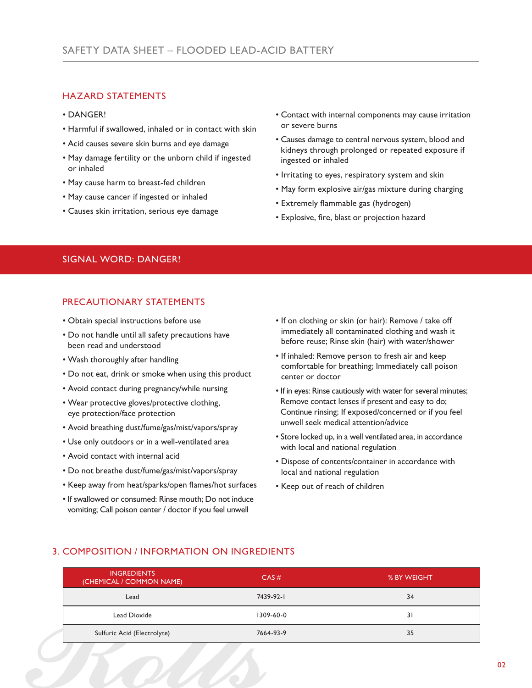# HAZARD STATEMENTS

- DANGER!
- Harmful if swallowed, inhaled or in contact with skin
- Acid causes severe skin burns and eye damage
- May damage fertility or the unborn child if ingested or inhaled
- May cause harm to breast-fed children
- May cause cancer if ingested or inhaled
- Causes skin irritation, serious eye damage
- Contact with internal components may cause irritation or severe burns
- Causes damage to central nervous system, blood and kidneys through prolonged or repeated exposure if ingested or inhaled
- Irritating to eyes, respiratory system and skin
- May form explosive air/gas mixture during charging
- Extremely flammable gas (hydrogen)
- Explosive, fire, blast or projection hazard

# SIGNAL WORD: DANGER!

# PRECAUTIONARY STATEMENTS

- Obtain special instructions before use
- Do not handle until all safety precautions have been read and understood
- Wash thoroughly after handling
- Do not eat, drink or smoke when using this product
- Avoid contact during pregnancy/while nursing
- Wear protective gloves/protective clothing, eye protection/face protection
- Avoid breathing dust/fume/gas/mist/vapors/spray
- Use only outdoors or in a well-ventilated area
- Avoid contact with internal acid
- Do not breathe dust/fume/gas/mist/vapors/spray
- Keep away from heat/sparks/open flames/hot surfaces
- If swallowed or consumed: Rinse mouth; Do not induce vomiting; Call poison center / doctor if you feel unwell
- If on clothing or skin (or hair): Remove / take off immediately all contaminated clothing and wash it before reuse; Rinse skin (hair) with water/shower
- If inhaled: Remove person to fresh air and keep comfortable for breathing; Immediately call poison center or doctor
- If in eyes: Rinse cautiously with water for several minutes; Remove contact lenses if present and easy to do; Continue rinsing; If exposed/concerned or if you feel unwell seek medical attention/advice
- Store locked up, in a well ventilated area, in accordance with local and national regulation
- Dispose of contents/container in accordance with local and national regulation
- Keep out of reach of children

# 3. COMPOSITION / INFORMATION ON INGREDIENTS

| <b>INGREDIENTS</b><br>(CHEMICAL / COMMON NAME) | CAS#      | % BY WEIGHT |
|------------------------------------------------|-----------|-------------|
| Lead                                           | 7439-92-1 | 34          |
| Lead Dioxide                                   | 1309-60-0 | 31          |
| Sulfuric Acid (Electrolyte)                    | 7664-93-9 | 35          |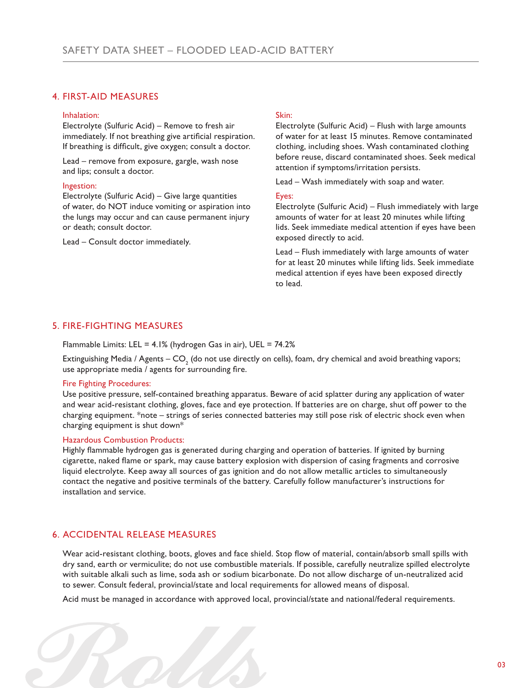## 4. FIRST-AID MEASURES

## Inhalation:

Electrolyte (Sulfuric Acid) – Remove to fresh air immediately. If not breathing give artificial respiration. If breathing is difficult, give oxygen; consult a doctor.

Lead – remove from exposure, gargle, wash nose and lips; consult a doctor.

### Ingestion:

Electrolyte (Sulfuric Acid) – Give large quantities of water, do NOT induce vomiting or aspiration into the lungs may occur and can cause permanent injury or death; consult doctor.

Lead – Consult doctor immediately.

## Skin:

Electrolyte (Sulfuric Acid) – Flush with large amounts of water for at least 15 minutes. Remove contaminated clothing, including shoes. Wash contaminated clothing before reuse, discard contaminated shoes. Seek medical attention if symptoms/irritation persists.

Lead – Wash immediately with soap and water.

### Eyes:

Electrolyte (Sulfuric Acid) – Flush immediately with large amounts of water for at least 20 minutes while lifting lids. Seek immediate medical attention if eyes have been exposed directly to acid.

Lead – Flush immediately with large amounts of water for at least 20 minutes while lifting lids. Seek immediate medical attention if eyes have been exposed directly to lead.

## 5. FIRE-FIGHTING MEASURES

Flammable Limits: LEL =  $4.1\%$  (hydrogen Gas in air), UEL =  $74.2\%$ 

Extinguishing Media / Agents — CO $_{_2}$  (do not use directly on cells), foam, dry chemical and avoid breathing vapors; use appropriate media / agents for surrounding fire.

### Fire Fighting Procedures:

Use positive pressure, self-contained breathing apparatus. Beware of acid splatter during any application of water and wear acid-resistant clothing, gloves, face and eye protection. If batteries are on charge, shut off power to the charging equipment. \*note – strings of series connected batteries may still pose risk of electric shock even when charging equipment is shut down\*

### Hazardous Combustion Products:

Highly flammable hydrogen gas is generated during charging and operation of batteries. If ignited by burning cigarette, naked flame or spark, may cause battery explosion with dispersion of casing fragments and corrosive liquid electrolyte. Keep away all sources of gas ignition and do not allow metallic articles to simultaneously contact the negative and positive terminals of the battery. Carefully follow manufacturer's instructions for installation and service.

## 6. ACCIDENTAL RELEASE MEASURES

Wear acid-resistant clothing, boots, gloves and face shield. Stop flow of material, contain/absorb small spills with dry sand, earth or vermiculite; do not use combustible materials. If possible, carefully neutralize spilled electrolyte with suitable alkali such as lime, soda ash or sodium bicarbonate. Do not allow discharge of un-neutralized acid to sewer. Consult federal, provincial/state and local requirements for allowed means of disposal.

Acid must be managed in accordance with approved local, provincial/state and national/federal requirements.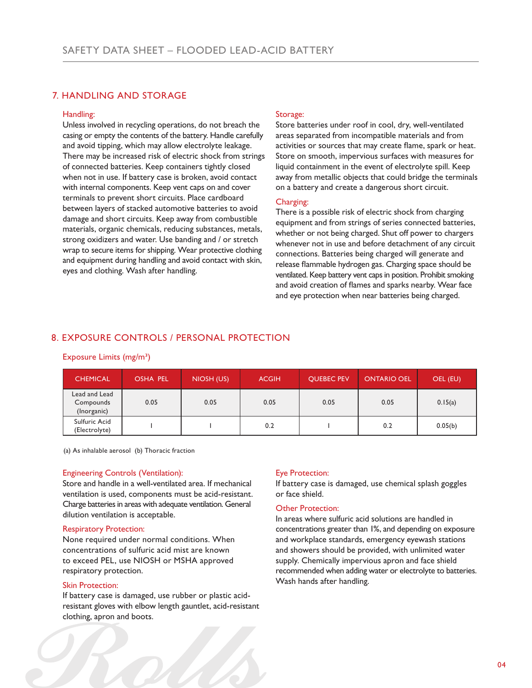## 7. HANDLING AND STORAGE

### Handling:

Unless involved in recycling operations, do not breach the casing or empty the contents of the battery. Handle carefully and avoid tipping, which may allow electrolyte leakage. There may be increased risk of electric shock from strings of connected batteries. Keep containers tightly closed when not in use. If battery case is broken, avoid contact with internal components. Keep vent caps on and cover terminals to prevent short circuits. Place cardboard between layers of stacked automotive batteries to avoid damage and short circuits. Keep away from combustible materials, organic chemicals, reducing substances, metals, strong oxidizers and water. Use banding and / or stretch wrap to secure items for shipping. Wear protective clothing and equipment during handling and avoid contact with skin, eyes and clothing. Wash after handling.

### Storage:

Store batteries under roof in cool, dry, well-ventilated areas separated from incompatible materials and from activities or sources that may create flame, spark or heat. Store on smooth, impervious surfaces with measures for liquid containment in the event of electrolyte spill. Keep away from metallic objects that could bridge the terminals on a battery and create a dangerous short circuit.

### Charging:

There is a possible risk of electric shock from charging equipment and from strings of series connected batteries, whether or not being charged. Shut off power to chargers whenever not in use and before detachment of any circuit connections. Batteries being charged will generate and release flammable hydrogen gas. Charging space should be ventilated. Keep battery vent caps in position. Prohibit smoking and avoid creation of flames and sparks nearby. Wear face and eye protection when near batteries being charged.

## 8. EXPOSURE CONTROLS / PERSONAL PROTECTION

## Exposure Limits (mg/m<sup>3</sup>)

| <b>CHEMICAL</b>                           | <b>OSHA PEL</b> | NIOSH (US) | <b>ACGIH</b> | <b>OUEBEC PEV</b> | <b>ONTARIO OEL</b> | OEL (EU) |
|-------------------------------------------|-----------------|------------|--------------|-------------------|--------------------|----------|
| Lead and Lead<br>Compounds<br>(Inorganic) | 0.05            | 0.05       | 0.05         | 0.05              | 0.05               | 0.15(a)  |
| Sulfuric Acid<br>(Electrolyte)            |                 |            | 0.2          |                   | 0.2                | 0.05(b)  |

(a) As inhalable aerosol (b) Thoracic fraction

## Engineering Controls (Ventilation):

Store and handle in a well-ventilated area. If mechanical ventilation is used, components must be acid-resistant. Charge batteries in areas with adequate ventilation. General dilution ventilation is acceptable.

## Respiratory Protection:

None required under normal conditions. When concentrations of sulfuric acid mist are known to exceed PEL, use NIOSH or MSHA approved respiratory protection.

## Skin Protection:

If battery case is damaged, use rubber or plastic acidresistant gloves with elbow length gauntlet, acid-resistant clothing, apron and boots.

## Eye Protection:

If battery case is damaged, use chemical splash goggles or face shield.

## Other Protection:

In areas where sulfuric acid solutions are handled in concentrations greater than 1%, and depending on exposure and workplace standards, emergency eyewash stations and showers should be provided, with unlimited water supply. Chemically impervious apron and face shield recommended when adding water or electrolyte to batteries. Wash hands after handling.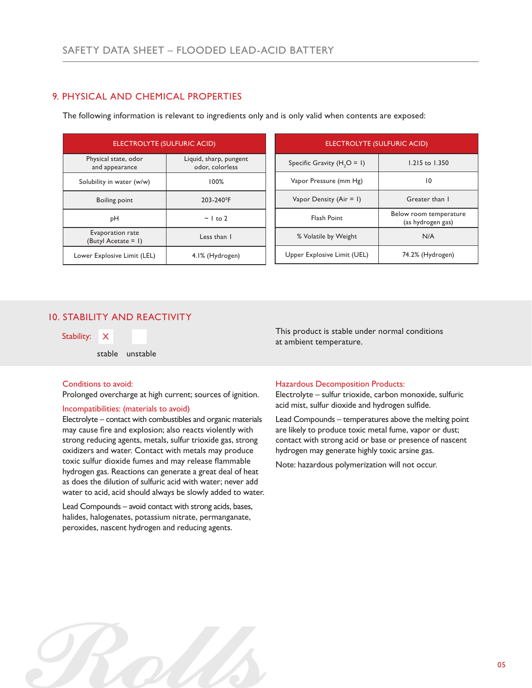# 9. PHYSICAL AND CHEMICAL PROPERTIES

The following information is relevant to ingredients only and is only valid when contents are exposed:

| <b>ELECTROLYTE (SULFURIC ACID)</b>         |                                           |  |
|--------------------------------------------|-------------------------------------------|--|
| Physical state, odor<br>and appearance     | Liquid, sharp, pungent<br>odor, colorless |  |
| Solubility in water (w/w)                  | $100\%$                                   |  |
| <b>Boiling point</b>                       | 203-240°F                                 |  |
| pН                                         | $\sim$ 1 to 2                             |  |
| Evaporation rate<br>(Butyl Acetate $= 1$ ) | Less than I                               |  |
| Lower Explosive Limit (LEL)                | 4.1% (Hydrogen)                           |  |

| <b>ELECTROLYTE (SULFURIC ACID)</b> |                                             |  |
|------------------------------------|---------------------------------------------|--|
| Specific Gravity $(H, O = I)$      | 1.215 to 1.350                              |  |
| Vapor Pressure (mm Hg)             | 10                                          |  |
| Vapor Density (Air = 1)            | Greater than I                              |  |
| <b>Flash Point</b>                 | Below room temperature<br>(as hydrogen gas) |  |
| % Volatile by Weight               | N/A                                         |  |
| Upper Explosive Limit (UEL)        | 74.2% (Hydrogen)                            |  |

## 10. STABILITY AND REACTIVITY

stable unstable

### Conditions to avoid:

Prolonged overcharge at high current; sources of ignition.

## Incompatibilities: (materials to avoid)

Electrolyte – contact with combustibles and organic materials may cause fire and explosion; also reacts violently with strong reducing agents, metals, sulfur trioxide gas, strong oxidizers and water. Contact with metals may produce toxic sulfur dioxide fumes and may release flammable hydrogen gas. Reactions can generate a great deal of heat as does the dilution of sulfuric acid with water; never add water to acid, acid should always be slowly added to water.

Lead Compounds – avoid contact with strong acids, bases, halides, halogenates, potassium nitrate, permanganate, peroxides, nascent hydrogen and reducing agents.

This product is stable under normal conditions Stability: X<br>at ambient temperature.

### Hazardous Decomposition Products:

Electrolyte – sulfur trioxide, carbon monoxide, sulfuric acid mist, sulfur dioxide and hydrogen sulfide.

Lead Compounds – temperatures above the melting point are likely to produce toxic metal fume, vapor or dust; contact with strong acid or base or presence of nascent hydrogen may generate highly toxic arsine gas.

Note: hazardous polymerization will not occur.

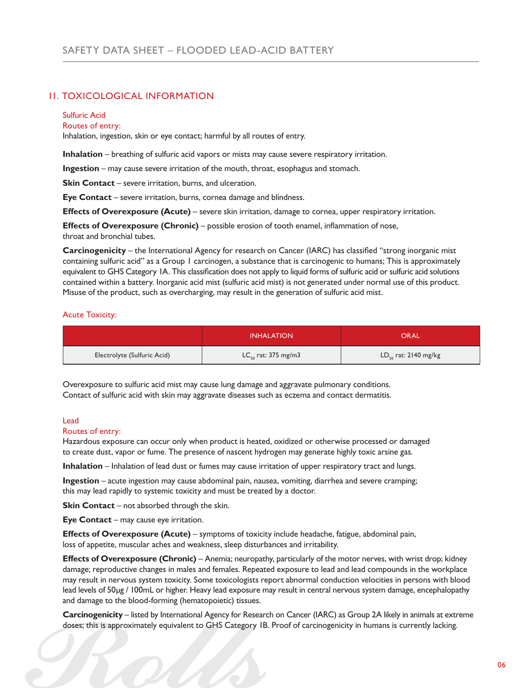## 11. TOXICOLOGICAL INFORMATION

## Sulfuric Acid

Routes of entry:

Inhalation, ingestion, skin or eye contact; harmful by all routes of entry.

**Inhalation** – breathing of sulfuric acid vapors or mists may cause severe respiratory irritation.

**Ingestion** – may cause severe irritation of the mouth, throat, esophagus and stomach.

**Skin Contact** – severe irritation, burns, and ulceration.

**Eye Contact** – severe irritation, burns, cornea damage and blindness.

**Effects of Overexposure (Acute)** – severe skin irritation, damage to cornea, upper respiratory irritation.

**Effects of Overexposure (Chronic)** – possible erosion of tooth enamel, inflammation of nose, throat and bronchial tubes.

**Carcinogenicity** – the International Agency for research on Cancer (IARC) has classified "strong inorganic mist containing sulfuric acid" as a Group 1 carcinogen, a substance that is carcinogenic to humans; This is approximately equivalent to GHS Category IA. This classification does not apply to liquid forms of sulfuric acid or sulfuric acid solutions contained within a battery. Inorganic acid mist (sulfuric acid mist) is not generated under normal use of this product. Misuse of the product, such as overcharging, may result in the generation of sulfuric acid mist.

### Acute Toxicity:

|                             | <b>INHALATION</b>            | ORAL                      |
|-----------------------------|------------------------------|---------------------------|
| Electrolyte (Sulfuric Acid) | $LC_{\rm co}$ rat: 375 mg/m3 | $LD_{50}$ rat: 2140 mg/kg |

Overexposure to sulfuric acid mist may cause lung damage and aggravate pulmonary conditions. Contact of sulfuric acid with skin may aggravate diseases such as eczema and contact dermatitis.

## Lead

### Routes of entry:

Hazardous exposure can occur only when product is heated, oxidized or otherwise processed or damaged to create dust, vapor or fume. The presence of nascent hydrogen may generate highly toxic arsine gas.

**Inhalation** – Inhalation of lead dust or fumes may cause irritation of upper respiratory tract and lungs.

**Ingestion** – acute ingestion may cause abdominal pain, nausea, vomiting, diarrhea and severe cramping; this may lead rapidly to systemic toxicity and must be treated by a doctor.

**Skin Contact** – not absorbed through the skin.

**Eye Contact** – may cause eye irritation.

**Effects of Overexposure (Acute)** – symptoms of toxicity include headache, fatigue, abdominal pain, loss of appetite, muscular aches and weakness, sleep disturbances and irritability.

**Effects of Overexposure (Chronic)** – Anemia; neuropathy, particularly of the motor nerves, with wrist drop; kidney damage; reproductive changes in males and females. Repeated exposure to lead and lead compounds in the workplace may result in nervous system toxicity. Some toxicologists report abnormal conduction velocities in persons with blood lead levels of 50µg / 100mL or higher. Heavy lead exposure may result in central nervous system damage, encephalopathy and damage to the blood-forming (hematopoietic) tissues.

**Carcinogenicity** – listed by International Agency for Research on Cancer (IARC) as Group 2A likely in animals at extreme doses; this is approximately equivalent to GHS Category 1B. Proof of carcinogenicity in humans is currently lacking.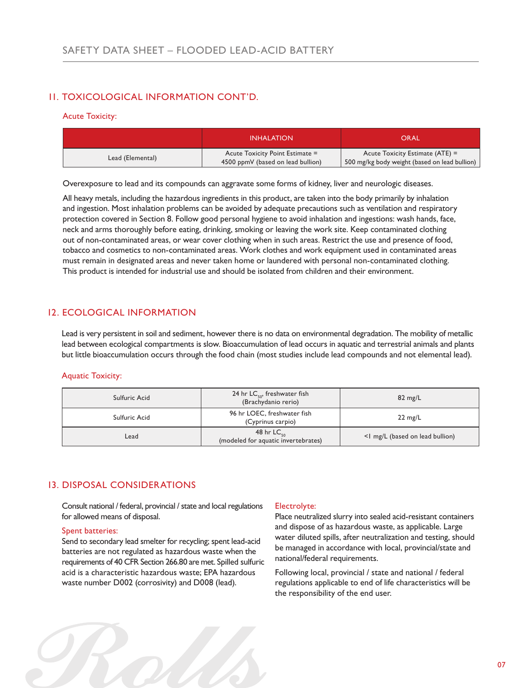# 11. TOXICOLOGICAL INFORMATION CONT'D.

## Acute Toxicity:

|                  | <b>INHALATION</b>                                                    | <b>ORAL</b>                                                                        |
|------------------|----------------------------------------------------------------------|------------------------------------------------------------------------------------|
| Lead (Elemental) | Acute Toxicity Point Estimate =<br>4500 ppmV (based on lead bullion) | Acute Toxicity Estimate $(ATE) =$<br>500 mg/kg body weight (based on lead bullion) |

Overexposure to lead and its compounds can aggravate some forms of kidney, liver and neurologic diseases.

All heavy metals, including the hazardous ingredients in this product, are taken into the body primarily by inhalation and ingestion. Most inhalation problems can be avoided by adequate precautions such as ventilation and respiratory protection covered in Section 8. Follow good personal hygiene to avoid inhalation and ingestions: wash hands, face, neck and arms thoroughly before eating, drinking, smoking or leaving the work site. Keep contaminated clothing out of non-contaminated areas, or wear cover clothing when in such areas. Restrict the use and presence of food, tobacco and cosmetics to non-contaminated areas. Work clothes and work equipment used in contaminated areas must remain in designated areas and never taken home or laundered with personal non-contaminated clothing. This product is intended for industrial use and should be isolated from children and their environment.

# 12. ECOLOGICAL INFORMATION

Lead is very persistent in soil and sediment, however there is no data on environmental degradation. The mobility of metallic lead between ecological compartments is slow. Bioaccumulation of lead occurs in aquatic and terrestrial animals and plants but little bioaccumulation occurs through the food chain (most studies include lead compounds and not elemental lead).

## Aquatic Toxicity:

| Sulfuric Acid | 24 hr $LC_{50}$ , freshwater fish<br>(Brachydanio rerio)   | $82 \text{ mg/L}$               |
|---------------|------------------------------------------------------------|---------------------------------|
| Sulfuric Acid | 96 hr LOEC, freshwater fish<br>(Cyprinus carpio)           | $22 \text{ mg/L}$               |
| Lead          | 48 hr $LC_{\rm co}$<br>(modeled for aquatic invertebrates) | <1 mg/L (based on lead bullion) |

## 13. DISPOSAL CONSIDERATIONS

Consult national / federal, provincial / state and local regulations for allowed means of disposal.

### Spent batteries:

Send to secondary lead smelter for recycling; spent lead-acid batteries are not regulated as hazardous waste when the requirements of 40 CFR Section 266.80 are met. Spilled sulfuric acid is a characteristic hazardous waste; EPA hazardous waste number D002 (corrosivity) and D008 (lead).

### Electrolyte:

Place neutralized slurry into sealed acid-resistant containers and dispose of as hazardous waste, as applicable. Large water diluted spills, after neutralization and testing, should be managed in accordance with local, provincial/state and national/federal requirements.

Following local, provincial / state and national / federal regulations applicable to end of life characteristics will be the responsibility of the end user.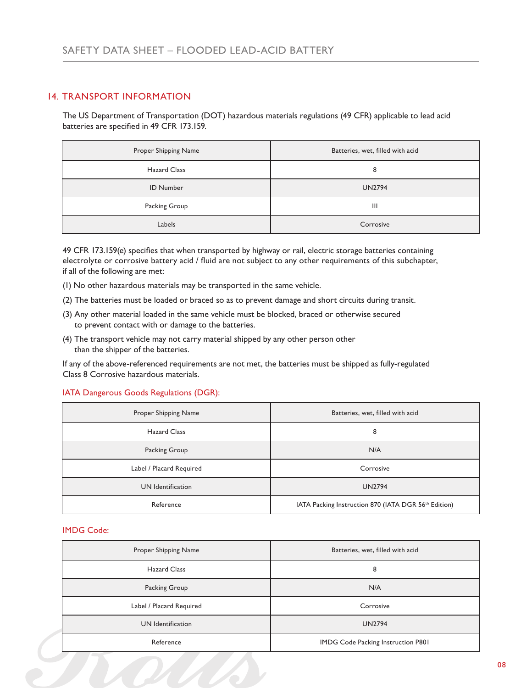## 14. TRANSPORT INFORMATION

The US Department of Transportation (DOT) hazardous materials regulations (49 CFR) applicable to lead acid batteries are specified in 49 CFR 173.159.

| Proper Shipping Name | Batteries, wet, filled with acid |
|----------------------|----------------------------------|
| <b>Hazard Class</b>  | 8                                |
| <b>ID Number</b>     | <b>UN2794</b>                    |
| Packing Group        | Ш                                |
| Labels               | Corrosive                        |

49 CFR 173.159(e) specifies that when transported by highway or rail, electric storage batteries containing electrolyte or corrosive battery acid / fluid are not subject to any other requirements of this subchapter, if all of the following are met:

- (1) No other hazardous materials may be transported in the same vehicle.
- (2) The batteries must be loaded or braced so as to prevent damage and short circuits during transit.
- (3) Any other material loaded in the same vehicle must be blocked, braced or otherwise secured to prevent contact with or damage to the batteries.
- (4) The transport vehicle may not carry material shipped by any other person other than the shipper of the batteries.

If any of the above-referenced requirements are not met, the batteries must be shipped as fully-regulated Class 8 Corrosive hazardous materials.

## IATA Dangerous Goods Regulations (DGR):

| Proper Shipping Name     | Batteries, wet, filled with acid                                 |
|--------------------------|------------------------------------------------------------------|
| <b>Hazard Class</b>      | 8                                                                |
| Packing Group            | N/A                                                              |
| Label / Placard Required | Corrosive                                                        |
| UN Identification        | <b>UN2794</b>                                                    |
| Reference                | IATA Packing Instruction 870 (IATA DGR 56 <sup>th</sup> Edition) |

## IMDG Code:

| Proper Shipping Name     | Batteries, wet, filled with acid   |
|--------------------------|------------------------------------|
| <b>Hazard Class</b>      | 8                                  |
| Packing Group            | N/A                                |
| Label / Placard Required | Corrosive                          |
| UN Identification        | <b>UN2794</b>                      |
| Reference                | IMDG Code Packing Instruction P801 |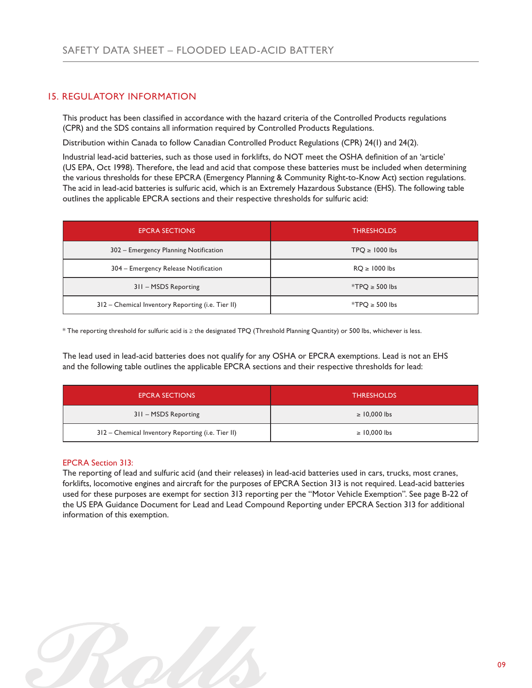# 15. REGULATORY INFORMATION

This product has been classified in accordance with the hazard criteria of the Controlled Products regulations (CPR) and the SDS contains all information required by Controlled Products Regulations.

Distribution within Canada to follow Canadian Controlled Product Regulations (CPR) 24(1) and 24(2).

Industrial lead-acid batteries, such as those used in forklifts, do NOT meet the OSHA definition of an 'article' (US EPA, Oct 1998). Therefore, the lead and acid that compose these batteries must be included when determining the various thresholds for these EPCRA (Emergency Planning & Community Right-to-Know Act) section regulations. The acid in lead-acid batteries is sulfuric acid, which is an Extremely Hazardous Substance (EHS). The following table outlines the applicable EPCRA sections and their respective thresholds for sulfuric acid:

| <b>EPCRA SECTIONS</b>                             | <b>THRESHOLDS</b>  |
|---------------------------------------------------|--------------------|
| 302 – Emergency Planning Notification             | $TPQ \ge 1000$ lbs |
| 304 – Emergency Release Notification              | $RQ \ge 1000$ lbs  |
| 311 - MSDS Reporting                              | $*TPQ \ge 500$ lbs |
| 312 - Chemical Inventory Reporting (i.e. Tier II) | $*TPQ \ge 500$ lbs |

\* The reporting threshold for sulfuric acid is ≥ the designated TPQ (Threshold Planning Quantity) or 500 lbs, whichever is less.

The lead used in lead-acid batteries does not qualify for any OSHA or EPCRA exemptions. Lead is not an EHS and the following table outlines the applicable EPCRA sections and their respective thresholds for lead:

| <b>EPCRA SECTIONS</b>                             | <b>THRESHOLDS</b> |
|---------------------------------------------------|-------------------|
| 311 - MSDS Reporting                              | $\geq 10,000$ lbs |
| 312 – Chemical Inventory Reporting (i.e. Tier II) | $\geq 10,000$ lbs |

## EPCRA Section 313:

The reporting of lead and sulfuric acid (and their releases) in lead-acid batteries used in cars, trucks, most cranes, forklifts, locomotive engines and aircraft for the purposes of EPCRA Section 313 is not required. Lead-acid batteries used for these purposes are exempt for section 313 reporting per the "Motor Vehicle Exemption". See page B-22 of the US EPA Guidance Document for Lead and Lead Compound Reporting under EPCRA Section 313 for additional information of this exemption.